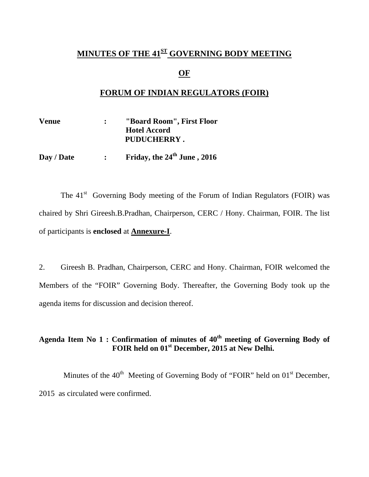## **MINUTES OF THE 41<sup>ST</sup> GOVERNING BODY MEETING**

### **OF**

## **FORUM OF INDIAN REGULATORS (FOIR)**

| <b>Venue</b> | "Board Room", First Floor |  |
|--------------|---------------------------|--|
|              | <b>Hotel Accord</b>       |  |
|              | PUDUCHERRY.               |  |

Day / Date : Friday, the  $24^{th}$  June , 2016

The  $41<sup>st</sup>$  Governing Body meeting of the Forum of Indian Regulators (FOIR) was chaired by Shri Gireesh.B.Pradhan, Chairperson, CERC / Hony. Chairman, FOIR. The list of participants is **enclosed** at **Annexure-I**.

2. Gireesh B. Pradhan, Chairperson, CERC and Hony. Chairman, FOIR welcomed the Members of the "FOIR" Governing Body. Thereafter, the Governing Body took up the agenda items for discussion and decision thereof.

## Agenda Item No 1 : Confirmation of minutes of  $40^{\text{th}}$  meeting of Governing Body of FOIR held on 01<sup>st</sup> December, 2015 at New Delhi.

Minutes of the  $40<sup>th</sup>$  Meeting of Governing Body of "FOIR" held on  $01<sup>st</sup>$  December, 2015 as circulated were confirmed.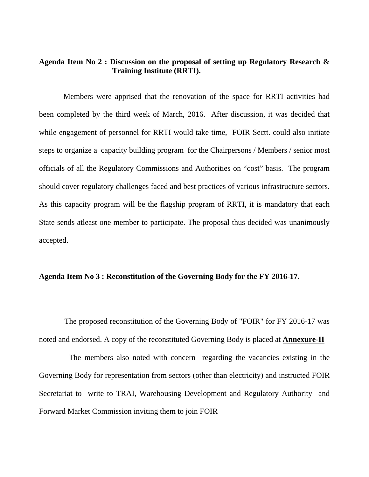### **Agenda Item No 2 : Discussion on the proposal of setting up Regulatory Research & Training Institute (RRTI).**

Members were apprised that the renovation of the space for RRTI activities had been completed by the third week of March, 2016. After discussion, it was decided that while engagement of personnel for RRTI would take time, FOIR Sectt. could also initiate steps to organize a capacity building program for the Chairpersons / Members / senior most officials of all the Regulatory Commissions and Authorities on "cost" basis. The program should cover regulatory challenges faced and best practices of various infrastructure sectors. As this capacity program will be the flagship program of RRTI, it is mandatory that each State sends atleast one member to participate. The proposal thus decided was unanimously accepted.

#### **Agenda Item No 3 : Reconstitution of the Governing Body for the FY 2016-17.**

 The proposed reconstitution of the Governing Body of "FOIR" for FY 2016-17 was noted and endorsed. A copy of the reconstituted Governing Body is placed at **Annexure-II**

The members also noted with concern regarding the vacancies existing in the Governing Body for representation from sectors (other than electricity) and instructed FOIR Secretariat to write to TRAI, Warehousing Development and Regulatory Authority and Forward Market Commission inviting them to join FOIR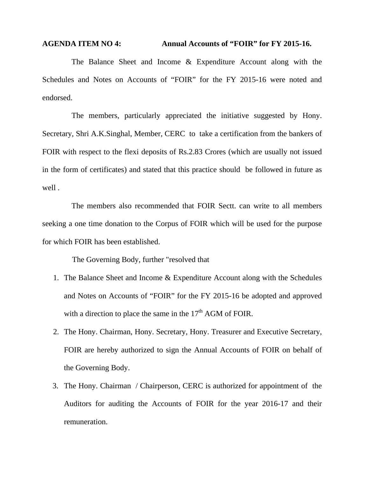## **AGENDA ITEM NO 4: Annual Accounts of "FOIR" for FY 2015-16.**

The Balance Sheet and Income & Expenditure Account along with the Schedules and Notes on Accounts of "FOIR" for the FY 2015-16 were noted and endorsed.

The members, particularly appreciated the initiative suggested by Hony. Secretary, Shri A.K.Singhal, Member, CERC to take a certification from the bankers of FOIR with respect to the flexi deposits of Rs.2.83 Crores (which are usually not issued in the form of certificates) and stated that this practice should be followed in future as well .

The members also recommended that FOIR Sectt. can write to all members seeking a one time donation to the Corpus of FOIR which will be used for the purpose for which FOIR has been established.

The Governing Body, further "resolved that

- 1. The Balance Sheet and Income & Expenditure Account along with the Schedules and Notes on Accounts of "FOIR" for the FY 2015-16 be adopted and approved with a direction to place the same in the  $17<sup>th</sup>$  AGM of FOIR.
- 2. The Hony. Chairman, Hony. Secretary, Hony. Treasurer and Executive Secretary, FOIR are hereby authorized to sign the Annual Accounts of FOIR on behalf of the Governing Body.
- 3. The Hony. Chairman / Chairperson, CERC is authorized for appointment of the Auditors for auditing the Accounts of FOIR for the year 2016-17 and their remuneration.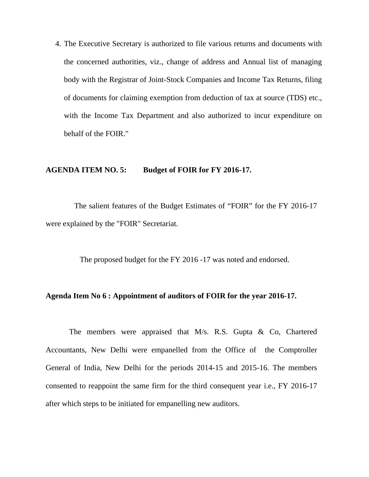4. The Executive Secretary is authorized to file various returns and documents with the concerned authorities, viz., change of address and Annual list of managing body with the Registrar of Joint-Stock Companies and Income Tax Returns, filing of documents for claiming exemption from deduction of tax at source (TDS) etc., with the Income Tax Department and also authorized to incur expenditure on behalf of the FOIR."

#### **AGENDA ITEM NO. 5: Budget of FOIR for FY 2016-17.**

The salient features of the Budget Estimates of "FOIR" for the FY 2016-17 were explained by the "FOIR" Secretariat.

The proposed budget for the FY 2016 -17 was noted and endorsed.

#### **Agenda Item No 6 : Appointment of auditors of FOIR for the year 2016-17.**

 The members were appraised that M/s. R.S. Gupta & Co, Chartered Accountants, New Delhi were empanelled from the Office of the Comptroller General of India, New Delhi for the periods 2014-15 and 2015-16. The members consented to reappoint the same firm for the third consequent year i.e., FY 2016-17 after which steps to be initiated for empanelling new auditors.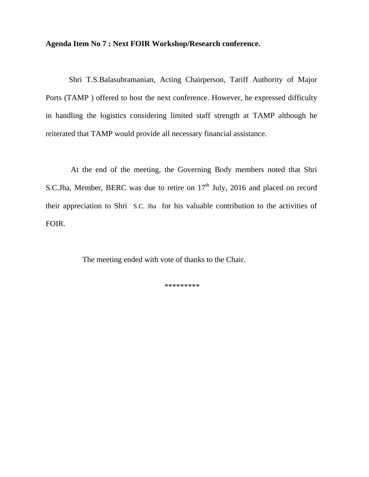### **Agenda Item No 7 : Next FOIR Workshop/Research conference.**

Shri T.S.Balasubramanian, Acting Chairperson, Tariff Authority of Major Ports (TAMP ) offered to host the next conference. However, he expressed difficulty in handling the logistics considering limited staff strength at TAMP although he reiterated that TAMP would provide all necessary financial assistance.

 At the end of the meeting, the Governing Body members noted that Shri S.C.Jha, Member, BERC was due to retire on  $17<sup>th</sup>$  July, 2016 and placed on record their appreciation to Shri S.C. Jha for his valuable contribution to the activities of FOIR.

The meeting ended with vote of thanks to the Chair.

\*\*\*\*\*\*\*\*\*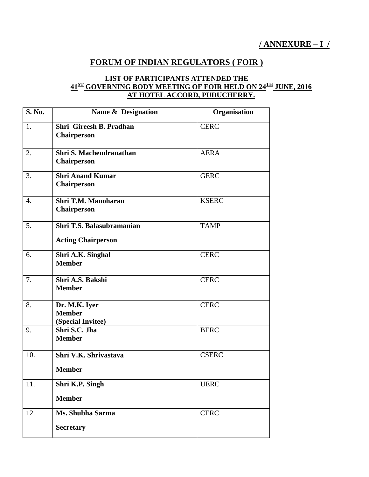## **FORUM OF INDIAN REGULATORS ( FOIR )**

#### **LIST OF PARTICIPANTS ATTENDED THE 41ST GOVERNING BODY MEETING OF FOIR HELD ON 24TH JUNE, 2016 AT HOTEL ACCORD, PUDUCHERRY.**

| <b>S. No.</b>    | Name & Designation                                     | Organisation |
|------------------|--------------------------------------------------------|--------------|
| 1.               | Shri Gireesh B. Pradhan<br><b>Chairperson</b>          | <b>CERC</b>  |
| 2.               | <b>Shri S. Machendranathan</b><br><b>Chairperson</b>   | <b>AERA</b>  |
| 3.               | <b>Shri Anand Kumar</b><br><b>Chairperson</b>          | <b>GERC</b>  |
| $\overline{4}$ . | <b>Shri T.M. Manoharan</b><br><b>Chairperson</b>       | <b>KSERC</b> |
| 5.               | Shri T.S. Balasubramanian<br><b>Acting Chairperson</b> | <b>TAMP</b>  |
| 6.               | Shri A.K. Singhal<br><b>Member</b>                     | <b>CERC</b>  |
| 7.               | Shri A.S. Bakshi<br><b>Member</b>                      | <b>CERC</b>  |
| 8.               | Dr. M.K. Iyer<br><b>Member</b><br>(Special Invitee)    | <b>CERC</b>  |
| 9.               | Shri S.C. Jha<br><b>Member</b>                         | <b>BERC</b>  |
| 10.              | Shri V.K. Shrivastava<br><b>Member</b>                 | <b>CSERC</b> |
| 11.              | Shri K.P. Singh<br><b>Member</b>                       | <b>UERC</b>  |
| 12.              | Ms. Shubha Sarma<br><b>Secretary</b>                   | <b>CERC</b>  |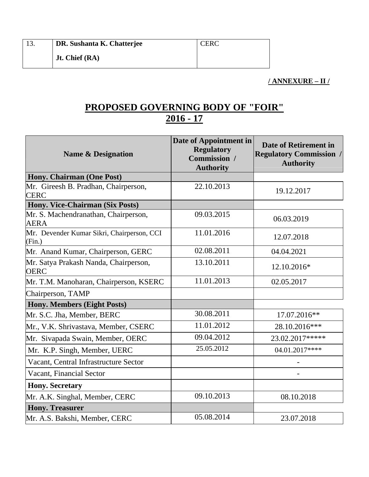**Jt. Chief (RA)** 

## **/ ANNEXURE – II /**

# **PROPOSED GOVERNING BODY OF "FOIR" 2016 - 17**

| <b>Name &amp; Designation</b>                        | Date of Appointment in<br><b>Regulatory</b><br>Commission /<br><b>Authority</b> | <b>Date of Retirement in</b><br><b>Regulatory Commission /</b><br><b>Authority</b> |
|------------------------------------------------------|---------------------------------------------------------------------------------|------------------------------------------------------------------------------------|
| Hony. Chairman (One Post)                            |                                                                                 |                                                                                    |
| Mr. Gireesh B. Pradhan, Chairperson,<br><b>CERC</b>  | 22.10.2013                                                                      | 19.12.2017                                                                         |
| Hony. Vice-Chairman (Six Posts)                      |                                                                                 |                                                                                    |
| Mr. S. Machendranathan, Chairperson,<br><b>AERA</b>  | 09.03.2015                                                                      | 06.03.2019                                                                         |
| Mr. Devender Kumar Sikri, Chairperson, CCI<br>(Fin.) | 11.01.2016                                                                      | 12.07.2018                                                                         |
| Mr. Anand Kumar, Chairperson, GERC                   | 02.08.2011                                                                      | 04.04.2021                                                                         |
| Mr. Satya Prakash Nanda, Chairperson,<br><b>OERC</b> | 13.10.2011                                                                      | 12.10.2016*                                                                        |
| Mr. T.M. Manoharan, Chairperson, KSERC               | 11.01.2013                                                                      | 02.05.2017                                                                         |
| Chairperson, TAMP                                    |                                                                                 |                                                                                    |
| <b>Hony. Members (Eight Posts)</b>                   |                                                                                 |                                                                                    |
| Mr. S.C. Jha, Member, BERC                           | 30.08.2011                                                                      | 17.07.2016**                                                                       |
| Mr., V.K. Shrivastava, Member, CSERC                 | 11.01.2012                                                                      | 28.10.2016***                                                                      |
| Mr. Sivapada Swain, Member, OERC                     | 09.04.2012                                                                      | 23.02.2017*****                                                                    |
| Mr. K.P. Singh, Member, UERC                         | 25.05.2012                                                                      | 04.01.2017****                                                                     |
| Vacant, Central Infrastructure Sector                |                                                                                 |                                                                                    |
| Vacant, Financial Sector                             |                                                                                 |                                                                                    |
| <b>Hony. Secretary</b>                               |                                                                                 |                                                                                    |
| Mr. A.K. Singhal, Member, CERC                       | 09.10.2013                                                                      | 08.10.2018                                                                         |
| <b>Hony. Treasurer</b>                               |                                                                                 |                                                                                    |
| Mr. A.S. Bakshi, Member, CERC                        | 05.08.2014                                                                      | 23.07.2018                                                                         |